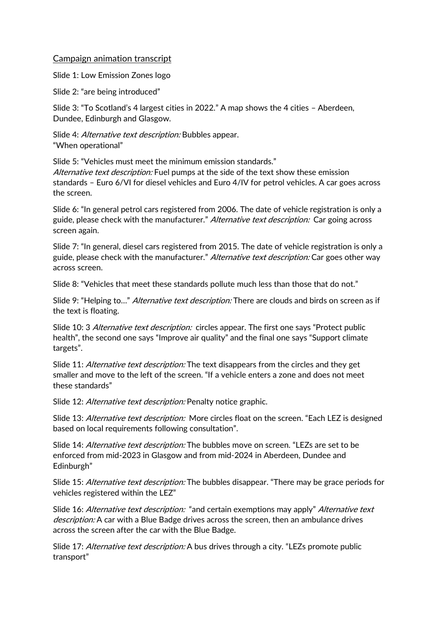## Campaign animation transcript

Slide 1: Low Emission Zones logo

Slide 2: "are being introduced"

Slide 3: "To Scotland's 4 largest cities in 2022." A map shows the 4 cities – Aberdeen, Dundee, Edinburgh and Glasgow.

Slide 4: Alternative text description: Bubbles appear. "When operational"

Slide 5: "Vehicles must meet the minimum emission standards." Alternative text description: Fuel pumps at the side of the text show these emission standards – Euro 6/VI for diesel vehicles and Euro 4/IV for petrol vehicles. A car goes across the screen.

Slide 6: "In general petrol cars registered from 2006. The date of vehicle registration is only a guide, please check with the manufacturer." Alternative text description: Car going across screen again.

Slide 7: "In general, diesel cars registered from 2015. The date of vehicle registration is only a guide, please check with the manufacturer." Alternative text description: Car goes other way across screen.

Slide 8: "Vehicles that meet these standards pollute much less than those that do not."

Slide 9: "Helping to..." *Alternative text description:* There are clouds and birds on screen as if the text is floating.

Slide 10: 3 Alternative text description: circles appear. The first one says "Protect public health", the second one says "Improve air quality" and the final one says "Support climate targets".

Slide 11: *Alternative text description:* The text disappears from the circles and they get smaller and move to the left of the screen. "If a vehicle enters a zone and does not meet these standards"

Slide 12: Alternative text description: Penalty notice graphic.

Slide 13: Alternative text description: More circles float on the screen. "Each LEZ is designed based on local requirements following consultation".

Slide 14: *Alternative text description:* The bubbles move on screen. "LEZs are set to be enforced from mid-2023 in Glasgow and from mid-2024 in Aberdeen, Dundee and Edinburgh"

Slide 15: *Alternative text description:* The bubbles disappear. "There may be grace periods for vehicles registered within the LEZ"

Slide 16: Alternative text description: "and certain exemptions may apply" Alternative text description: A car with a Blue Badge drives across the screen, then an ambulance drives across the screen after the car with the Blue Badge.

Slide 17: *Alternative text description:* A bus drives through a city. "LEZs promote public transport"